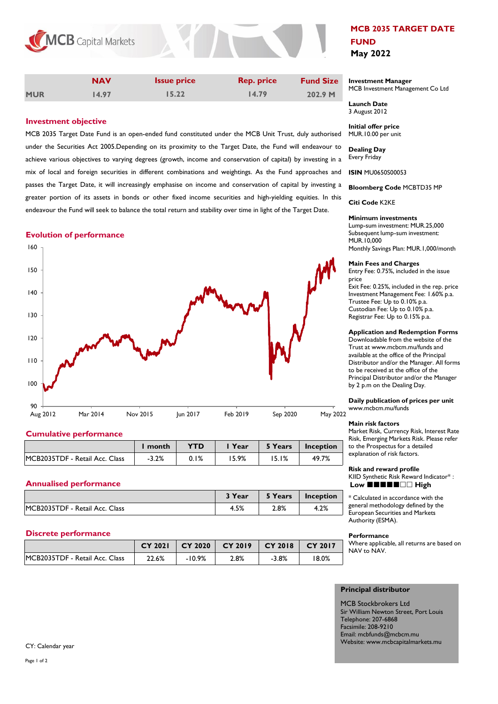

|            | <b>NAV</b> | <b>Issue price</b> | <b>Rep. price</b> | <b>Fund Size</b> |
|------------|------------|--------------------|-------------------|------------------|
| <b>MUR</b> | 14.97      | 15.22              | 14.79             | 202.9 M          |

# **Investment objective**

MCB 2035 Target Date Fund is an open-ended fund constituted under the MCB Unit Trust, duly authorised under the Securities Act 2005.Depending on its proximity to the Target Date, the Fund will endeavour to achieve various objectives to varying degrees (growth, income and conservation of capital) by investing in a mix of local and foreign securities in different combinations and weightings. As the Fund approaches and **ISIN** MU0650S00053 passes the Target Date, it will increasingly emphasise on income and conservation of capital by investing a greater portion of its assets in bonds or other fixed income securities and high-yielding equities. In this endeavour the Fund will seek to balance the total return and stability over time in light of the Target Date.

## **Evolution of performance**



# **Cumulative performance**

|                                | month   | <b>YTD</b> | Year  | 5 Years | Inception |
|--------------------------------|---------|------------|-------|---------|-----------|
| MCB2035TDF - Retail Acc. Class | $-3.2%$ | $0.1\%$    | 15.9% | 5.1%    | 49.7%     |

# **Annualised performance**

|                                | <b>3 Year</b> | 5 Years | Inception |
|--------------------------------|---------------|---------|-----------|
| MCB2035TDF - Retail Acc. Class | 4.5%          | 2.8%    | 4.2%      |

# **Discrete performance**

|                                | <b>CY 2021</b> | $CY$ 2020 | $CY$ 2019 $\mid CY$ 2018 $\mid$ |         | CY 2017 |
|--------------------------------|----------------|-----------|---------------------------------|---------|---------|
| MCB2035TDF - Retail Acc. Class | 22.6%          | $-10.9%$  | 2.8%                            | $-3.8%$ | '8.0%   |

# **MCB 2035 TARGET DATE FUND May 2022**

### **Investment Manager**  MCB Investment Management Co Ltd

**Launch Date** 3 August 2012

**Initial offer price** MUR.10.00 per unit

**Dealing Day** Every Friday

**Bloomberg Code** MCBTD35 MP

**Citi Code** K2KE

### **Minimum investments**

Lump-sum investment: MUR.25,000 Subsequent lump-sum investment: MUR.10,000 Monthly Savings Plan: MUR.1,000/month

### **Main Fees and Charges**

Entry Fee: 0.75%, included in the issue price Exit Fee: 0.25%, included in the rep. price Investment Management Fee: 1.60% p.a. Trustee Fee: Up to 0.10% p.a. Custodian Fee: Up to 0.10% p.a. Registrar Fee: Up to 0.15% p.a.

### **Application and Redemption Forms**

Downloadable from the website of the Trust at www.mcbcm.mu/funds and available at the office of the Principal Distributor and/or the Manager. All forms to be received at the office of the Principal Distributor and/or the Manager by 2 p.m on the Dealing Day.

### **Daily publication of prices per unit** www.mcbcm.mu/funds

#### **Main risk factors**

Market Risk, Currency Risk, Interest Rate Risk, Emerging Markets Risk. Please refer to the Prospectus for a detailed explanation of risk factors.

**Risk and reward profile**  KIID Synthetic Risk Reward Indicator\* : Low  $\mathbf{H} \mathbf{H} \mathbf{H} \mathbf{H}$   $\Box$  High

\* Calculated in accordance with the general methodology defined by the European Securities and Markets Authority (ESMA).

#### **Performance**

Where applicable, all returns are based on NAV to NAV.

# **Principal distributor**

MCB Stockbrokers Ltd Sir William Newton Street, Port Louis Telephone: 207-6868 Facsimile: 208-9210 Email: mcbfunds@mcbcm.mu Website: www.mcbcapitalmarkets.mu

CY: Calendar year